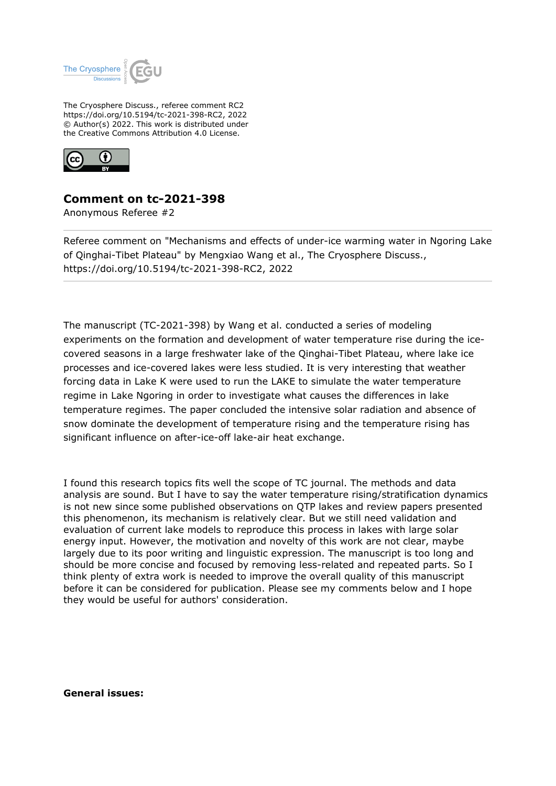

The Cryosphere Discuss., referee comment RC2 https://doi.org/10.5194/tc-2021-398-RC2, 2022 © Author(s) 2022. This work is distributed under the Creative Commons Attribution 4.0 License.



## **Comment on tc-2021-398**

Anonymous Referee #2

Referee comment on "Mechanisms and effects of under-ice warming water in Ngoring Lake of Qinghai-Tibet Plateau" by Mengxiao Wang et al., The Cryosphere Discuss., https://doi.org/10.5194/tc-2021-398-RC2, 2022

The manuscript (TC-2021-398) by Wang et al. conducted a series of modeling experiments on the formation and development of water temperature rise during the icecovered seasons in a large freshwater lake of the Qinghai-Tibet Plateau, where lake ice processes and ice-covered lakes were less studied. It is very interesting that weather forcing data in Lake K were used to run the LAKE to simulate the water temperature regime in Lake Ngoring in order to investigate what causes the differences in lake temperature regimes. The paper concluded the intensive solar radiation and absence of snow dominate the development of temperature rising and the temperature rising has significant influence on after-ice-off lake-air heat exchange.

I found this research topics fits well the scope of TC journal. The methods and data analysis are sound. But I have to say the water temperature rising/stratification dynamics is not new since some published observations on QTP lakes and review papers presented this phenomenon, its mechanism is relatively clear. But we still need validation and evaluation of current lake models to reproduce this process in lakes with large solar energy input. However, the motivation and novelty of this work are not clear, maybe largely due to its poor writing and linguistic expression. The manuscript is too long and should be more concise and focused by removing less-related and repeated parts. So I think plenty of extra work is needed to improve the overall quality of this manuscript before it can be considered for publication. Please see my comments below and I hope they would be useful for authors' consideration.

**General issues:**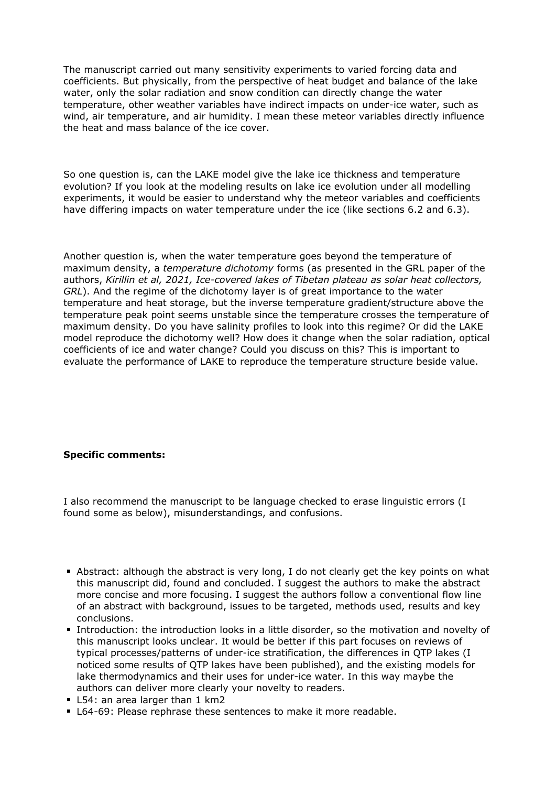The manuscript carried out many sensitivity experiments to varied forcing data and coefficients. But physically, from the perspective of heat budget and balance of the lake water, only the solar radiation and snow condition can directly change the water temperature, other weather variables have indirect impacts on under-ice water, such as wind, air temperature, and air humidity. I mean these meteor variables directly influence the heat and mass balance of the ice cover.

So one question is, can the LAKE model give the lake ice thickness and temperature evolution? If you look at the modeling results on lake ice evolution under all modelling experiments, it would be easier to understand why the meteor variables and coefficients have differing impacts on water temperature under the ice (like sections 6.2 and 6.3).

Another question is, when the water temperature goes beyond the temperature of maximum density, a *temperature dichotomy* forms (as presented in the GRL paper of the authors, *Kirillin et al, 2021, Ice-covered lakes of Tibetan plateau as solar heat collectors, GRL*). And the regime of the dichotomy layer is of great importance to the water temperature and heat storage, but the inverse temperature gradient/structure above the temperature peak point seems unstable since the temperature crosses the temperature of maximum density. Do you have salinity profiles to look into this regime? Or did the LAKE model reproduce the dichotomy well? How does it change when the solar radiation, optical coefficients of ice and water change? Could you discuss on this? This is important to evaluate the performance of LAKE to reproduce the temperature structure beside value.

## **Specific comments:**

I also recommend the manuscript to be language checked to erase linguistic errors (I found some as below), misunderstandings, and confusions.

- Abstract: although the abstract is very long, I do not clearly get the key points on what this manuscript did, found and concluded. I suggest the authors to make the abstract more concise and more focusing. I suggest the authors follow a conventional flow line of an abstract with background, issues to be targeted, methods used, results and key conclusions.
- Introduction: the introduction looks in a little disorder, so the motivation and novelty of this manuscript looks unclear. It would be better if this part focuses on reviews of typical processes/patterns of under-ice stratification, the differences in QTP lakes (I noticed some results of QTP lakes have been published), and the existing models for lake thermodynamics and their uses for under-ice water. In this way maybe the authors can deliver more clearly your novelty to readers.
- L54: an area larger than 1 km2
- **L64-69: Please rephrase these sentences to make it more readable.**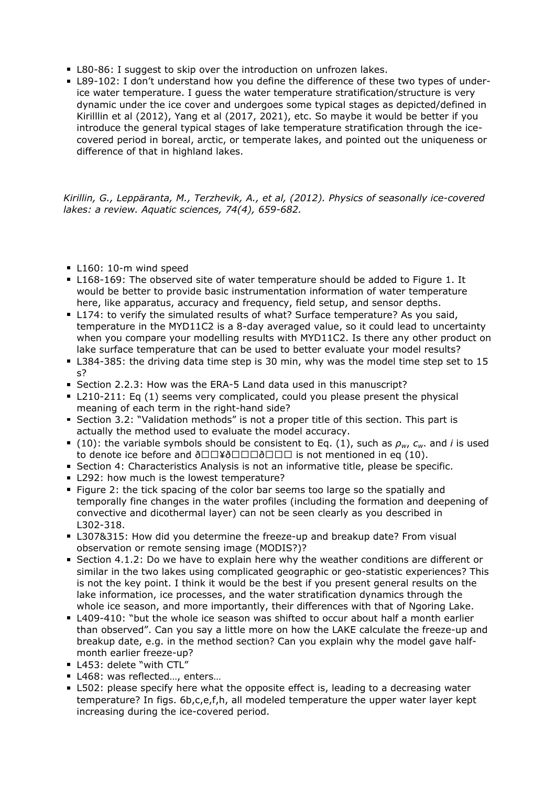- **L80-86: I suggest to skip over the introduction on unfrozen lakes.**
- L89-102: I don't understand how you define the difference of these two types of underice water temperature. I guess the water temperature stratification/structure is very dynamic under the ice cover and undergoes some typical stages as depicted/defined in Kirilllin et al (2012), Yang et al (2017, 2021), etc. So maybe it would be better if you introduce the general typical stages of lake temperature stratification through the icecovered period in boreal, arctic, or temperate lakes, and pointed out the uniqueness or difference of that in highland lakes.

*Kirillin, G., Leppäranta, M., Terzhevik, A., et al, (2012). Physics of seasonally ice-covered lakes: a review. Aquatic sciences, 74(4), 659-682.*

- L160: 10-m wind speed
- L168-169: The observed site of water temperature should be added to Figure 1. It would be better to provide basic instrumentation information of water temperature here, like apparatus, accuracy and frequency, field setup, and sensor depths.
- L174: to verify the simulated results of what? Surface temperature? As you said, temperature in the MYD11C2 is a 8-day averaged value, so it could lead to uncertainty when you compare your modelling results with MYD11C2. Is there any other product on lake surface temperature that can be used to better evaluate your model results?
- L384-385: the driving data time step is 30 min, why was the model time step set to 15 s?
- Section 2.2.3: How was the ERA-5 Land data used in this manuscript?
- L210-211: Eq (1) seems very complicated, could you please present the physical meaning of each term in the right-hand side?
- Section 3.2: "Validation methods" is not a proper title of this section. This part is actually the method used to evaluate the model accuracy.
- (10): the variable symbols should be consistent to Eq. (1), such as  $\rho_w$ ,  $c_w$ . and *i* is used to denote ice before and  $\delta\Box\Box\Psi\delta\Box\Box\Box\delta\Box\Box\Box$  is not mentioned in eq (10).
- **Section 4: Characteristics Analysis is not an informative title, please be specific.**
- L292: how much is the lowest temperature?
- Figure 2: the tick spacing of the color bar seems too large so the spatially and temporally fine changes in the water profiles (including the formation and deepening of convective and dicothermal layer) can not be seen clearly as you described in L302-318.
- **L307&315: How did you determine the freeze-up and breakup date? From visual** observation or remote sensing image (MODIS?)?
- **Section 4.1.2: Do we have to explain here why the weather conditions are different or** similar in the two lakes using complicated geographic or geo-statistic experiences? This is not the key point. I think it would be the best if you present general results on the lake information, ice processes, and the water stratification dynamics through the whole ice season, and more importantly, their differences with that of Ngoring Lake.
- L409-410: "but the whole ice season was shifted to occur about half a month earlier than observed". Can you say a little more on how the LAKE calculate the freeze-up and breakup date, e.g. in the method section? Can you explain why the model gave halfmonth earlier freeze-up?
- L453: delete "with CTL"
- L468: was reflected..., enters...
- L502: please specify here what the opposite effect is, leading to a decreasing water temperature? In figs. 6b,c,e,f,h, all modeled temperature the upper water layer kept increasing during the ice-covered period.